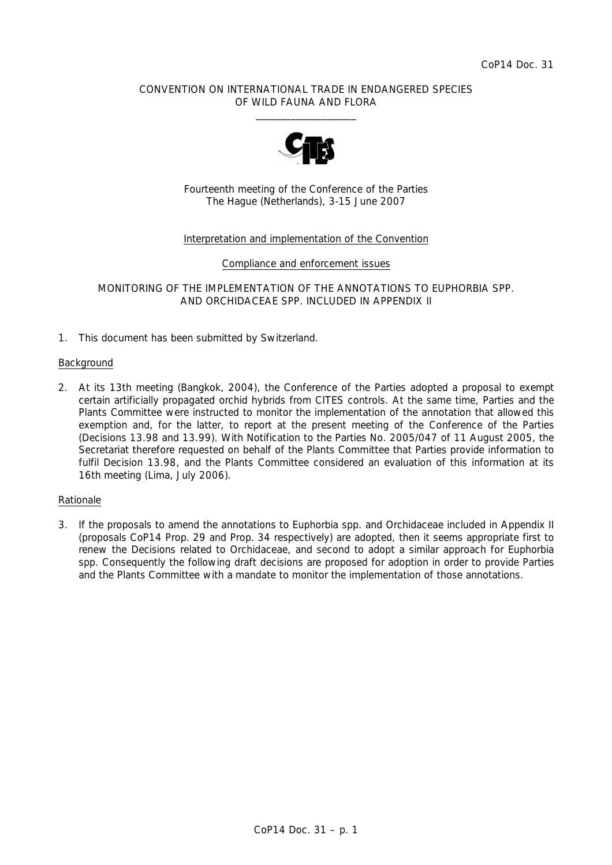# CONVENTION ON INTERNATIONAL TRADE IN ENDANGERED SPECIES OF WILD FAUNA AND FLORA  $\frac{1}{2}$  , and the set of the set of the set of the set of the set of the set of the set of the set of the set of the set of the set of the set of the set of the set of the set of the set of the set of the set of the set



Fourteenth meeting of the Conference of the Parties The Hague (Netherlands), 3-15 June 2007

# Interpretation and implementation of the Convention

### Compliance and enforcement issues

MONITORING OF THE IMPLEMENTATION OF THE ANNOTATIONS TO *EUPHORBIA* SPP. AND ORCHIDACEAE SPP. INCLUDED IN APPENDIX II

1. This document has been submitted by Switzerland.

### Background

2. At its 13th meeting (Bangkok, 2004), the Conference of the Parties adopted a proposal to exempt certain artificially propagated orchid hybrids from CITES controls. At the same time, Parties and the Plants Committee were instructed to monitor the implementation of the annotation that allowed this exemption and, for the latter, to report at the present meeting of the Conference of the Parties (Decisions 13.98 and 13.99). With Notification to the Parties No. 2005/047 of 11 August 2005, the Secretariat therefore requested on behalf of the Plants Committee that Parties provide information to fulfil Decision 13.98, and the Plants Committee considered an evaluation of this information at its 16th meeting (Lima, July 2006).

### Rationale

3. If the proposals to amend the annotations to *Euphorbia* spp. and Orchidaceae included in Appendix II (proposals CoP14 Prop. 29 and Prop. 34 respectively) are adopted, then it seems appropriate first to renew the Decisions related to Orchidaceae, and second to adopt a similar approach for *Euphorbia*  spp. Consequently the following draft decisions are proposed for adoption in order to provide Parties and the Plants Committee with a mandate to monitor the implementation of those annotations.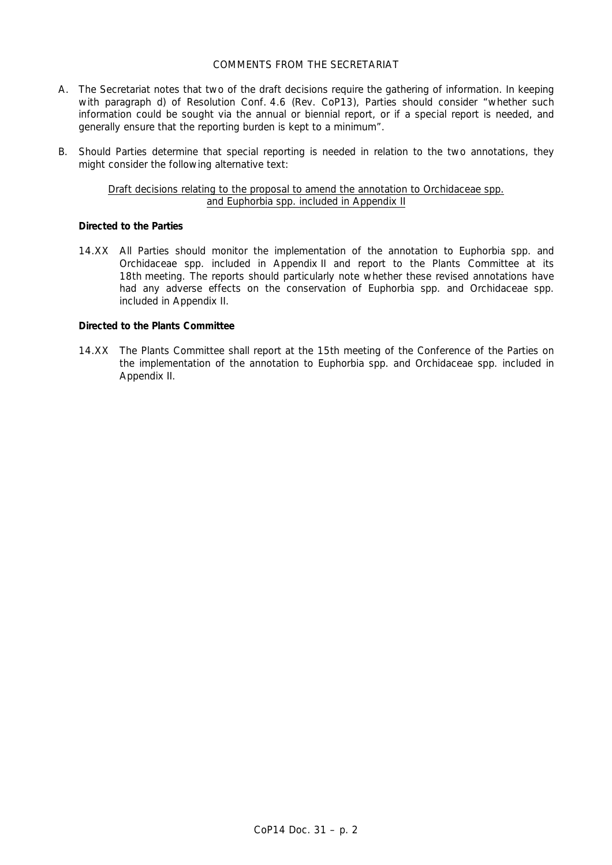# COMMENTS FROM THE SECRETARIAT

- A. The Secretariat notes that two of the draft decisions require the gathering of information. In keeping with paragraph d) of Resolution Conf. 4.6 (Rev. CoP13), Parties should consider "whether such information could be sought via the annual or biennial report, or if a special report is needed, and generally ensure that the reporting burden is kept to a minimum".
- B. Should Parties determine that special reporting is needed in relation to the two annotations, they might consider the following alternative text:

# Draft decisions relating to the proposal to amend the annotation to Orchidaceae spp. and *Euphorbia* spp. included in Appendix II

# *Directed to the Parties*

 14.XX All Parties should monitor the implementation of the annotation to *Euphorbia* spp. and Orchidaceae spp. included in Appendix II and report to the Plants Committee at its 18th meeting. The reports should particularly note whether these revised annotations have had any adverse effects on the conservation of *Euphorbia* spp. and Orchidaceae spp. included in Appendix II.

# *Directed to the Plants Committee*

 14.XX The Plants Committee shall report at the 15th meeting of the Conference of the Parties on the implementation of the annotation to *Euphorbia* spp. and Orchidaceae spp. included in Appendix II.